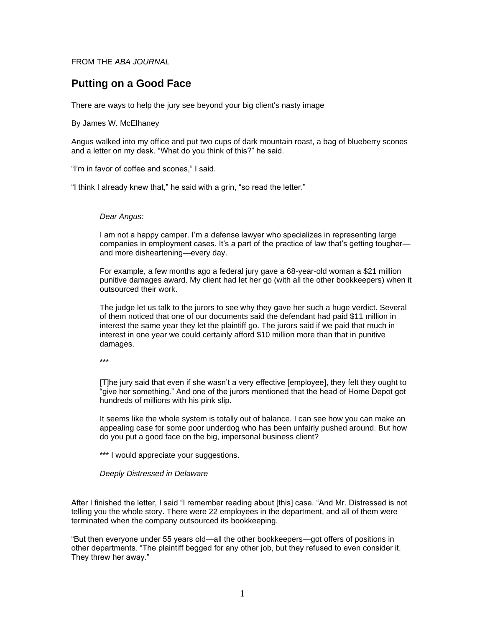## FROM THE *ABA JOURNAL*

# **Putting on a Good Face**

There are ways to help the jury see beyond your big client's nasty image

#### By James W. McElhaney

Angus walked into my office and put two cups of dark mountain roast, a bag of blueberry scones and a letter on my desk. "What do you think of this?" he said.

"I'm in favor of coffee and scones," I said.

"I think I already knew that," he said with a grin, "so read the letter."

### *Dear Angus:*

I am not a happy camper. I'm a defense lawyer who specializes in representing large companies in employment cases. It's a part of the practice of law that's getting tougher and more disheartening—every day.

For example, a few months ago a federal jury gave a 68-year-old woman a \$21 million punitive damages award. My client had let her go (with all the other bookkeepers) when it outsourced their work.

The judge let us talk to the jurors to see why they gave her such a huge verdict. Several of them noticed that one of our documents said the defendant had paid \$11 million in interest the same year they let the plaintiff go. The jurors said if we paid that much in interest in one year we could certainly afford \$10 million more than that in punitive damages.

\*\*\*

[T]he jury said that even if she wasn't a very effective [employee], they felt they ought to "give her something." And one of the jurors mentioned that the head of Home Depot got hundreds of millions with his pink slip.

It seems like the whole system is totally out of balance. I can see how you can make an appealing case for some poor underdog who has been unfairly pushed around. But how do you put a good face on the big, impersonal business client?

\*\*\* I would appreciate your suggestions.

*Deeply Distressed in Delaware*

After I finished the letter, I said "I remember reading about [this] case. "And Mr. Distressed is not telling you the whole story. There were 22 employees in the department, and all of them were terminated when the company outsourced its bookkeeping.

"But then everyone under 55 years old—all the other bookkeepers—got offers of positions in other departments. "The plaintiff begged for any other job, but they refused to even consider it. They threw her away."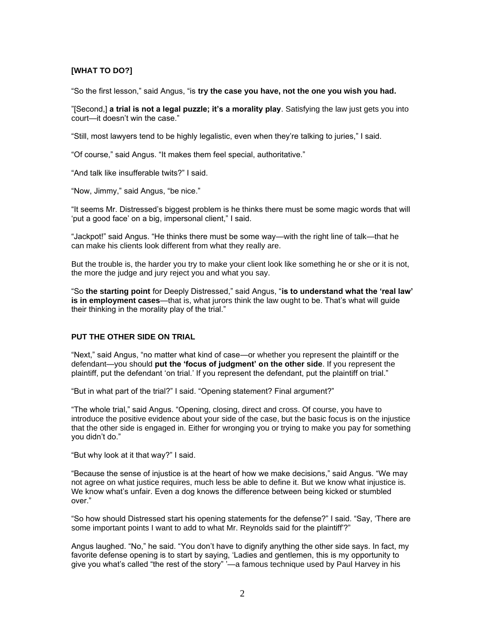## **[WHAT TO DO?]**

"So the first lesson," said Angus, "is **try the case you have, not the one you wish you had.**

"[Second,] **a trial is not a legal puzzle; it's a morality play**. Satisfying the law just gets you into court—it doesn't win the case."

"Still, most lawyers tend to be highly legalistic, even when they're talking to juries," I said.

"Of course," said Angus. "It makes them feel special, authoritative."

"And talk like insufferable twits?" I said.

"Now, Jimmy," said Angus, "be nice."

"It seems Mr. Distressed's biggest problem is he thinks there must be some magic words that will 'put a good face' on a big, impersonal client," I said.

"Jackpot!" said Angus. "He thinks there must be some way—with the right line of talk—that he can make his clients look different from what they really are.

But the trouble is, the harder you try to make your client look like something he or she or it is not, the more the judge and jury reject you and what you say.

"So **the starting point** for Deeply Distressed," said Angus, "**is to understand what the 'real law' is in employment cases**—that is, what jurors think the law ought to be. That's what will guide their thinking in the morality play of the trial."

### **PUT THE OTHER SIDE ON TRIAL**

"Next," said Angus, "no matter what kind of case—or whether you represent the plaintiff or the defendant—you should **put the 'focus of judgment' on the other side**. If you represent the plaintiff, put the defendant 'on trial.' If you represent the defendant, put the plaintiff on trial."

"But in what part of the trial?" I said. "Opening statement? Final argument?"

"The whole trial," said Angus. "Opening, closing, direct and cross. Of course, you have to introduce the positive evidence about your side of the case, but the basic focus is on the injustice that the other side is engaged in. Either for wronging you or trying to make you pay for something you didn't do."

"But why look at it that way?" I said.

"Because the sense of injustice is at the heart of how we make decisions," said Angus. "We may not agree on what justice requires, much less be able to define it. But we know what injustice is. We know what's unfair. Even a dog knows the difference between being kicked or stumbled over."

"So how should Distressed start his opening statements for the defense?" I said. "Say, 'There are some important points I want to add to what Mr. Reynolds said for the plaintiff'?"

Angus laughed. "No," he said. "You don't have to dignify anything the other side says. In fact, my favorite defense opening is to start by saying, 'Ladies and gentlemen, this is my opportunity to give you what's called "the rest of the story" '- a famous technique used by Paul Harvey in his